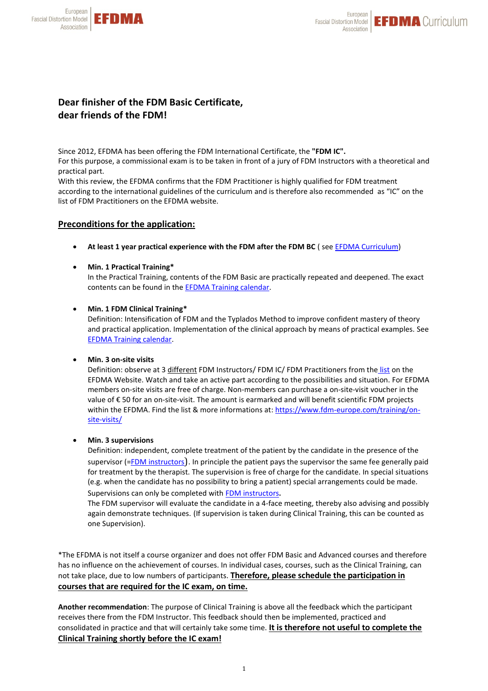

# **Dear finisher of the FDM Basic Certificate, dear friends of the FDM!**

Since 2012, EFDMA has been offering the FDM International Certificate, the **"FDM IC".** For this purpose, a commissional exam is to be taken in front of a jury of FDM Instructors with a theoretical and practical part.

With this review, the EFDMA confirms that the FDM Practitioner is highly qualified for FDM treatment according to the international guidelines of the curriculum and is therefore also recommended as "IC" on the list of FDM Practitioners on the EFDMA website.

## **Preconditions for the application:**

- **At least 1 year practical experience with the FDM after the FDM BC** ( se[e EFDMA Curriculum\)](https://www.fdm-europe.com/training/curriculum/)
- **Min. 1 Practical Training\***

In the Practical Training, contents of the FDM Basic are practically repeated and deepened. The exact contents can be found in the [EFDMA Training calendar.](https://www.fdm-europe.com/training/course-calender/)

## • **Min. 1 FDM Clinical Training\***

Definition: Intensification of FDM and the Typlados Method to improve confident mastery of theory and practical application. Implementation of the clinical approach by means of practical examples. See [EFDMA Training calendar.](https://www.fdm-europe.com/training/course-calender/) 

## • **Min. 3 on-site visits**

Definition: observe at 3 different FDM Instructors/ FDM IC/ FDM Practitioners from the [list](https://www.fdm-europe.com/training/on-site-visits/) on the EFDMA Website. Watch and take an active part according to the possibilities and situation. For EFDMA members on-site visits are free of charge. Non-members can purchase a on-site-visit voucher in the value of € 50 for an on-site-visit. The amount is earmarked and will benefit scientific FDM projects within the EFDMA. Find the list & more informations at[: https://www.fdm-europe.com/training/on](https://www.fdm-europe.com/training/on-site-visits/)[site-visits/](https://www.fdm-europe.com/training/on-site-visits/)

## • **Min. 3 supervisions**

Definition: independent, complete treatment of the patient by the candidate in the presence of the supervisor (=**FDM** instructors). In principle the patient pays the supervisor the same fee generally paid for treatment by the therapist. The supervision is free of charge for the candidate. In special situations (e.g. when the candidate has no possibility to bring a patient) special arrangements could be made. Supervisions can only be completed with [FDM instructors](https://www.fdm-europe.com/training/fdm-instructors/).

The FDM supervisor will evaluate the candidate in a 4-face meeting, thereby also advising and possibly again demonstrate techniques. (If supervision is taken during Clinical Training, this can be counted as one Supervision).

\*The EFDMA is not itself a course organizer and does not offer FDM Basic and Advanced courses and therefore has no influence on the achievement of courses. In individual cases, courses, such as the Clinical Training, can not take place, due to low numbers of participants. **Therefore, please schedule the participation in courses that are required for the IC exam, on time.**

**Another recommendation**: The purpose of Clinical Training is above all the feedback which the participant receives there from the FDM Instructor. This feedback should then be implemented, practiced and consolidated in practice and that will certainly take some time. **It is therefore not useful to complete the Clinical Training shortly before the IC exam!**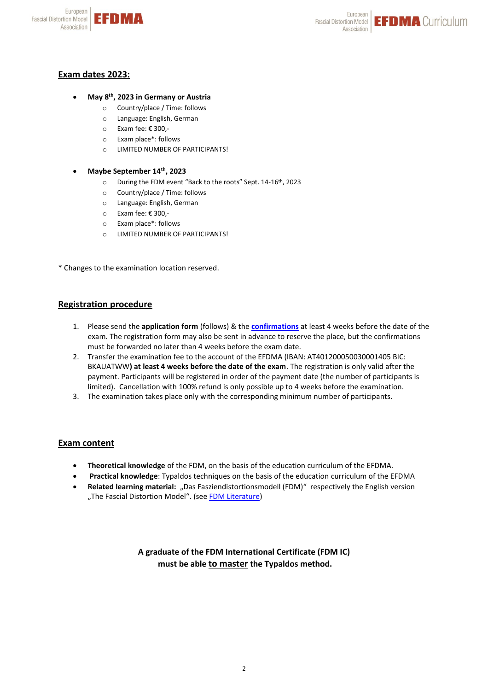



# **Exam dates 2023:**

## • **May 8 th, 2023 in Germany or Austria**

- o Country/place / Time: follows
- o Language: English, German
- o Exam fee: € 300,-
- o Exam place\*: follows
- o LIMITED NUMBER OF PARTICIPANTS!

#### • **Maybe September 14th, 2023**

- o During the FDM event "Back to the roots" Sept. 14-16th, 2023
- o Country/place / Time: follows
- o Language: English, German
- o Exam fee: € 300,-
- o Exam place\*: follows
- o LIMITED NUMBER OF PARTICIPANTS!

\* Changes to the examination location reserved.

## **Registration procedure**

- 1. Please send the **application form** (follows) & the **[confirmations](https://www.fdm-europe.com/wp-content/uploads/2021/01/Confirmation_IC_21.pdf)** at least 4 weeks before the date of the exam. The registration form may also be sent in advance to reserve the place, but the confirmations must be forwarded no later than 4 weeks before the exam date.
- 2. Transfer the examination fee to the account of the EFDMA (IBAN: AT401200050030001405 BIC: BKAUATWW**) at least 4 weeks before the date of the exam**. The registration is only valid after the payment. Participants will be registered in order of the payment date (the number of participants is limited). Cancellation with 100% refund is only possible up to 4 weeks before the examination.
- 3. The examination takes place only with the corresponding minimum number of participants.

## **Exam content**

- **Theoretical knowledge** of the FDM, on the basis of the education curriculum of the EFDMA.
- **Practical knowledge**: Typaldos techniques on the basis of the education curriculum of the EFDMA
- Related learning material: "Das Fasziendistortionsmodell (FDM)" respectively the English version "The Fascial Distortion Model". [\(s](http://fdm-europe.com/fdm-en/publications/)ee [FDM Literature\)](https://www.fdm-europe.com/fdm-2/literature/)

**A graduate of the FDM International Certificate (FDM IC) must be able to master the Typaldos method.**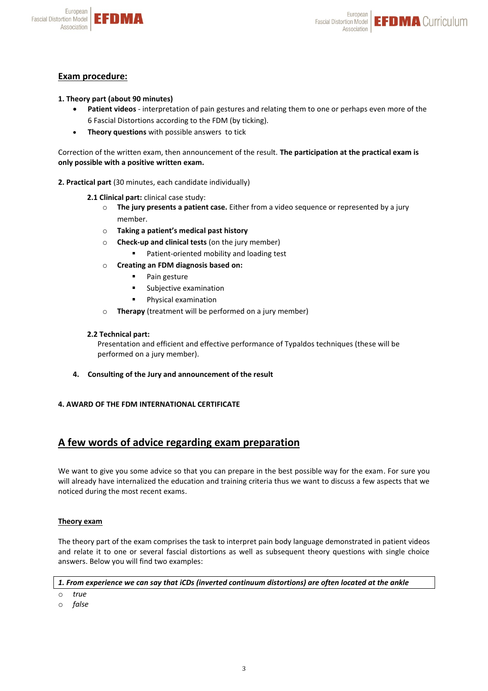

# **Exam procedure:**

European

Association

**Fascial Distortion Model** 

- **1. Theory part (about 90 minutes)**
	- **Patient videos** interpretation of pain gestures and relating them to one or perhaps even more of the 6 Fascial Distortions according to the FDM (by ticking).
	- **Theory questions** with possible answers to tick

Correction of the written exam, then announcement of the result. **The participation at the practical exam is only possible with a positive written exam.**

- **2. Practical part** (30 minutes, each candidate individually)
	- **2.1 Clinical part:** clinical case study:
		- o **The jury presents a patient case.** Either from a video sequence or represented by a jury member.
		- o **Taking a patient's medical past history**
		- o **Check-up and clinical tests** (on the jury member)
			- Patient-oriented mobility and loading test
		- o **Creating an FDM diagnosis based on:**
			- Pain gesture
			- Subjective examination
			- Physical examination
		- o **Therapy** (treatment will be performed on a jury member)

## **2.2 Technical part:**

Presentation and efficient and effective performance of Typaldos techniques (these will be performed on a jury member).

**4. Consulting of the Jury and announcement of the result**

## **4. AWARD OF THE FDM INTERNATIONAL CERTIFICATE**

# **A few words of advice regarding exam preparation**

We want to give you some advice so that you can prepare in the best possible way for the exam. For sure you will already have internalized the education and training criteria thus we want to discuss a few aspects that we noticed during the most recent exams.

## **Theory exam**

The theory part of the exam comprises the task to interpret pain body language demonstrated in patient videos and relate it to one or several fascial distortions as well as subsequent theory questions with single choice answers. Below you will find two examples:

#### *1. From experience we can say that iCDs (inverted continuum distortions) are often located at the ankle*

- o *true*
- o *false*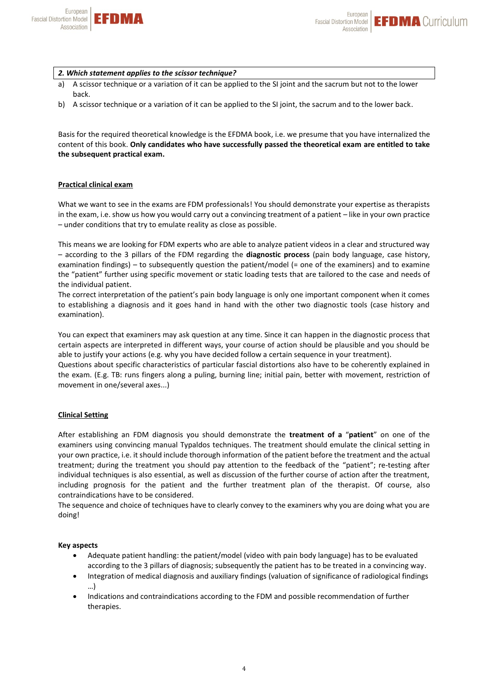

#### *2. Which statement applies to the scissor technique?*

- a) A scissor technique or a variation of it can be applied to the SI joint and the sacrum but not to the lower back.
- b) A scissor technique or a variation of it can be applied to the SI joint, the sacrum and to the lower back.

Basis for the required theoretical knowledge is the EFDMA book, i.e. we presume that you have internalized the content of this book. **Only candidates who have successfully passed the theoretical exam are entitled to take the subsequent practical exam.**

#### **Practical clinical exam**

What we want to see in the exams are FDM professionals! You should demonstrate your expertise as therapists in the exam, i.e. show us how you would carry out a convincing treatment of a patient – like in your own practice – under conditions that try to emulate reality as close as possible.

This means we are looking for FDM experts who are able to analyze patient videos in a clear and structured way – according to the 3 pillars of the FDM regarding the **diagnostic process** (pain body language, case history, examination findings) – to subsequently question the patient/model (= one of the examiners) and to examine the "patient" further using specific movement or static loading tests that are tailored to the case and needs of the individual patient.

The correct interpretation of the patient's pain body language is only one important component when it comes to establishing a diagnosis and it goes hand in hand with the other two diagnostic tools (case history and examination).

You can expect that examiners may ask question at any time. Since it can happen in the diagnostic process that certain aspects are interpreted in different ways, your course of action should be plausible and you should be able to justify your actions (e.g. why you have decided follow a certain sequence in your treatment).

Questions about specific characteristics of particular fascial distortions also have to be coherently explained in the exam. (E.g. TB: runs fingers along a puling, burning line; initial pain, better with movement, restriction of movement in one/several axes...)

#### **Clinical Setting**

After establishing an FDM diagnosis you should demonstrate the **treatment of a** "**patient**" on one of the examiners using convincing manual Typaldos techniques. The treatment should emulate the clinical setting in your own practice, i.e. it should include thorough information of the patient before the treatment and the actual treatment; during the treatment you should pay attention to the feedback of the "patient"; re-testing after individual techniques is also essential, as well as discussion of the further course of action after the treatment, including prognosis for the patient and the further treatment plan of the therapist. Of course, also contraindications have to be considered.

The sequence and choice of techniques have to clearly convey to the examiners why you are doing what you are doing!

#### **Key aspects**

- Adequate patient handling: the patient/model (video with pain body language) has to be evaluated according to the 3 pillars of diagnosis; subsequently the patient has to be treated in a convincing way.
- Integration of medical diagnosis and auxiliary findings (valuation of significance of radiological findings …)
- Indications and contraindications according to the FDM and possible recommendation of further therapies.